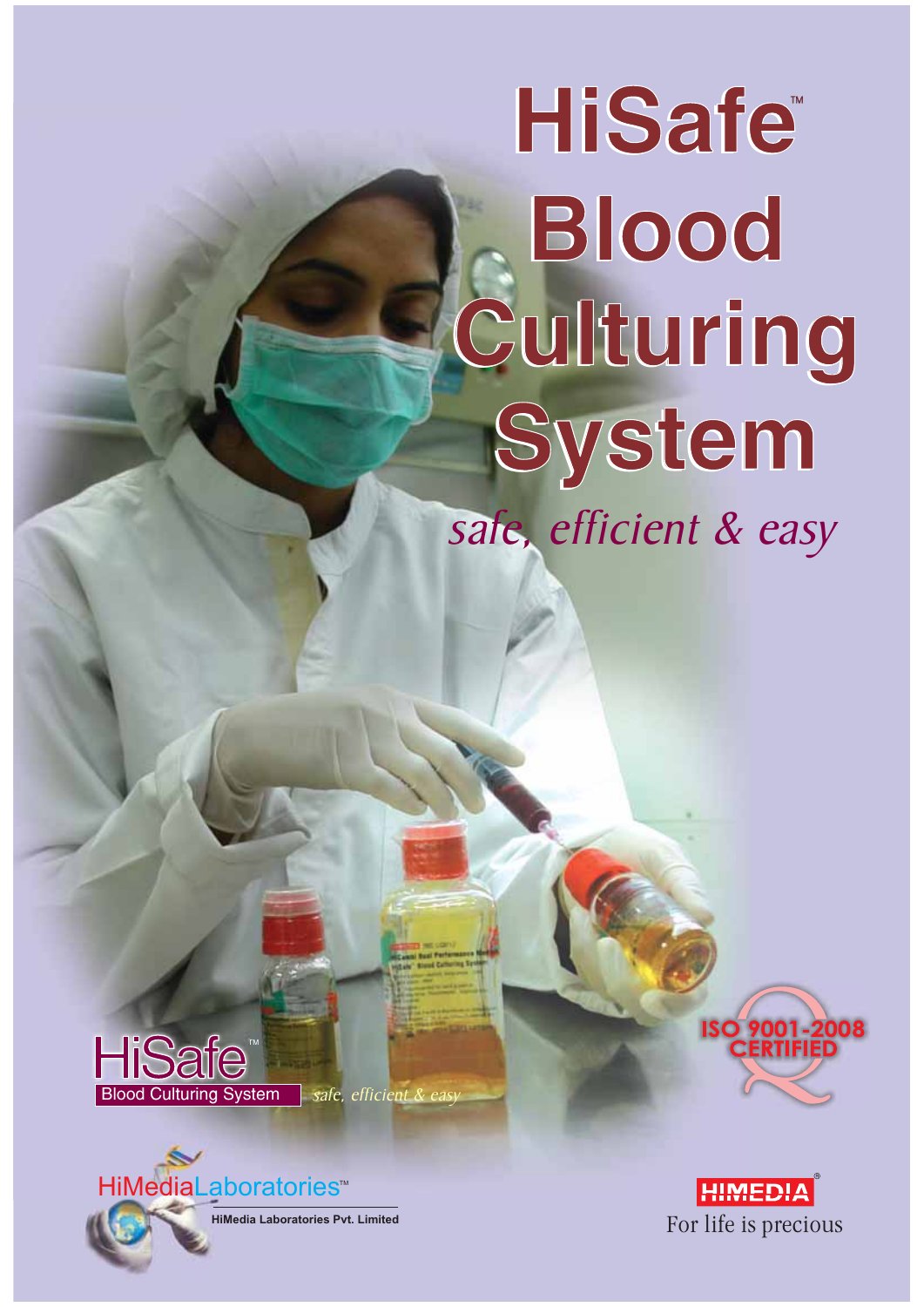# safe, efficient & easy **Blood Blood Culturing Culturing System System HiSafe HiSafe**





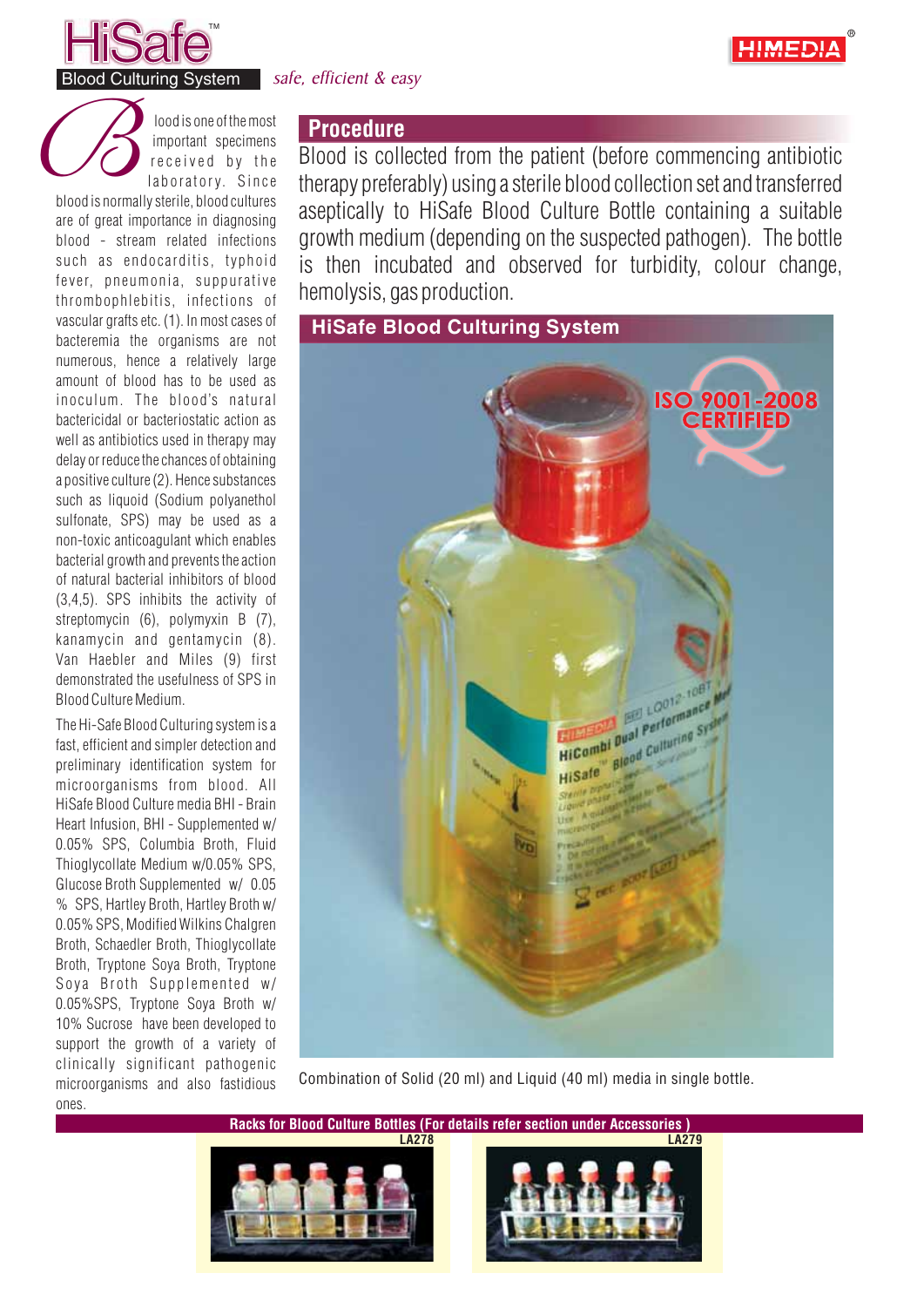



lood is one of themost important specimens received by the laboratory. Since **blood is one of the most**<br> **important** specimens<br> **blood is normally sterile, blood cultures** 

are of great importance in diagnosing blood - stream related infections such as endocarditis, typhoid fever, pneumonia, suppurative thrombophlebitis, infections of vascular grafts etc. (1). In most cases of bacteremia the organisms are not numerous, hence a relatively large amount of blood has to be used as inoculum. The blood's natural bactericidal or bacteriostatic action as well as antibiotics used in therapy may delay or reduce the chances of obtaining a positive culture (2). Hence substances such as liquoid (Sodium polyanethol sulfonate, SPS) may be used as a non-toxic anticoagulant which enables bacterial growth and prevents the action of natural bacterial inhibitors of blood (3,4,5). SPS inhibits the activity of streptomycin (6), polymyxin B (7), kanamycin and gentamycin (8). Van Haebler and Miles (9) first demonstrated the usefulness of SPS in Blood Culture Medium.

The Hi-Safe Blood Culturing systemisa fast, efficient and simpler detection and preliminary identification system for microorganisms from blood. All HiSafe Blood Culture media BHI - Brain Heart Infusion, BHI - Supplemented w/ 0.05% SPS, Columbia Broth, Fluid Thioglycollate Medium w/0.05% SPS, Glucose Broth Supplemented w/ 0.05 % SPS, Hartley Broth, Hartley Broth w/ 0.05% SPS, Modified Wilkins Chalgren Broth, Schaedler Broth, Thioglycollate Broth, Tryptone Soya Broth, Tryptone Soya Broth Supplemented w/ 0.05%SPS, Tryptone Soya Broth w/ 10% Sucrose have been developed to support the growth of a variety of clinically significant pathogenic microorganisms and also fastidious ones.

## **Procedure**

Blood is collected from the patient (before commencing antibiotic therapy preferably) using asterile blood collection setand transferred aseptically to HiSafe Blood Culture Bottle containing a suitable growth medium (depending on the suspected pathogen). The bottle is then incubated and observed for turbidity, colour change, hemolysis, gas production.



Combination of Solid (20 ml) and Liquid (40 ml) media in single bottle.

**Racks for Blood Culture Bottles (For details refer section under Accessories )**



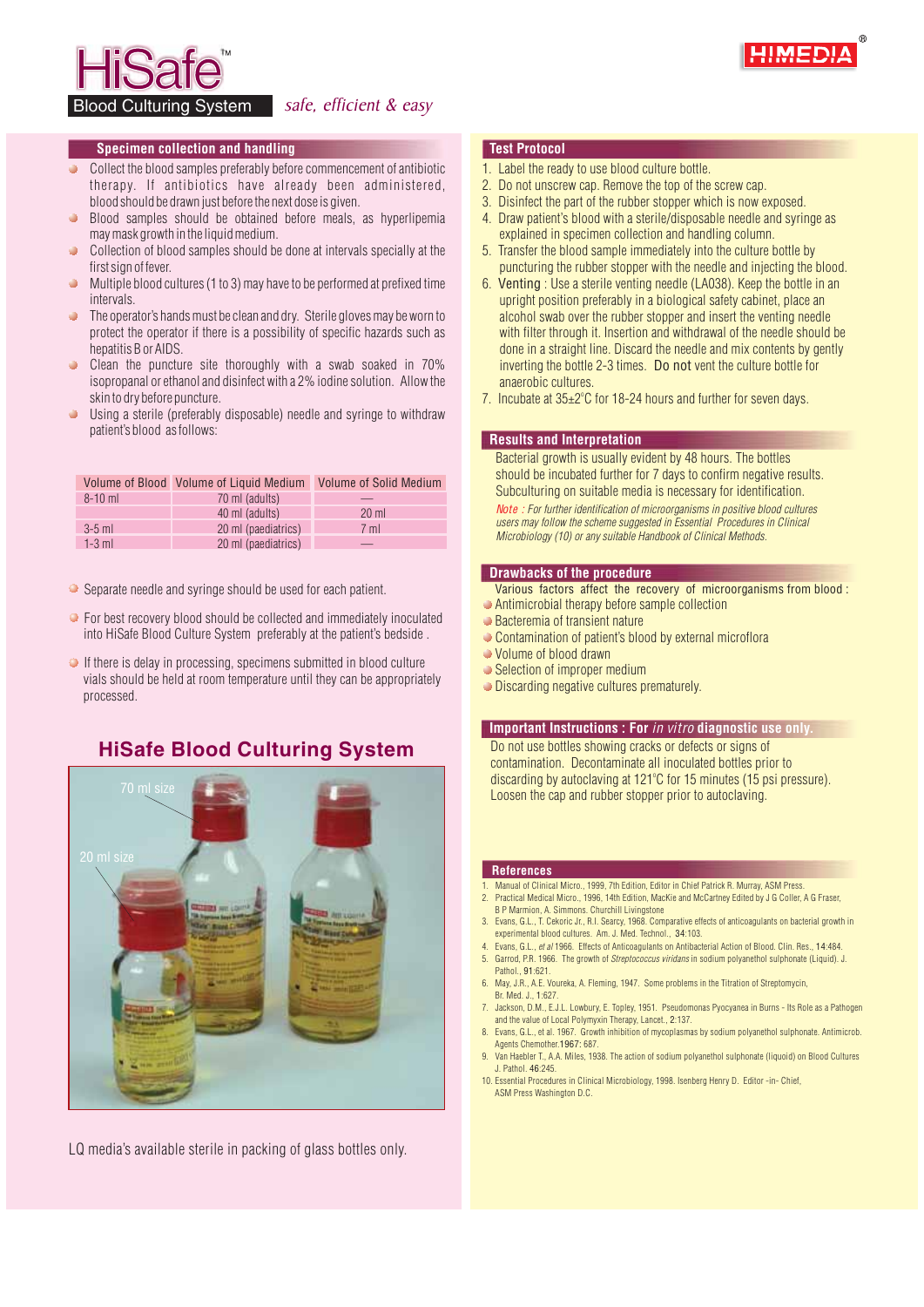

Blood Culturing System safe, efficient & easy

#### **Specimen collection and handling Test Protocol**

- Collect the blood samples preferably before commencement of antibiotic  $\bullet$ therapy. If antibiotics have already been administered, blood should be drawn just before the next dose is given.
- Blood samples should be obtained before meals, as hyperlipemia may mask growth in the liquid medium.
- Collection of blood samples should be done at intervals specially at the first sign of fever.
- Multiple blood cultures (1 to 3) may have to be performed at prefixed time **intervals**
- The operator's hands must be clean and dry. Sterile gloves may be worn to  $\blacksquare$ protect the operator if there is a possibility of specific hazards such as hepatitis B or AIDS.
- Clean the puncture site thoroughly with a swab soaked in 70%  $\bullet$ isopropanal or ethanol and disinfect with a 2% iodine solution. Allow the skin to dry before puncture.
- Using a sterile (preferably disposable) needle and syringe to withdraw patient's blood asfollows:

|             | Volume of Blood Volume of Liquid Medium | <b>Volume of Solid Medium</b> |  |
|-------------|-----------------------------------------|-------------------------------|--|
| $8 - 10$ ml | 70 ml (adults)                          |                               |  |
|             | 40 ml (adults)                          | $20 \text{ ml}$               |  |
| $3-5$ ml    | 20 ml (paediatrics)                     | 7 <sub>m</sub>                |  |
| $1-3$ ml    | 20 ml (paediatrics)                     |                               |  |

- Separate needle and syringe should be used for each patient.
- For best recovery blood should be collected and immediately inoculated into HiSafe Blood Culture System preferably at the patient's bedside .
- $\bullet$  If there is delay in processing, specimens submitted in blood culture vials should be held at room temperature until they can be appropriately processed.

#### **HiSafe Blood Culturing System**



LQ media's available sterile in packing of glass bottles only.

- 1. Label the ready to use blood culture bottle.
- 2. Do not unscrew cap. Remove the top of the screw cap.
- 3. Disinfect the part of the rubber stopper which is now exposed.
- 4. Draw patient's blood with a sterile/disposable needle and syringe as explained in specimen collection and handling column.
- 5. Transfer the blood sample immediately into the culture bottle by puncturing the rubber stopper with the needle and injecting the blood.
- 6. Venting : Use a sterile venting needle (LA038). Keep the bottle in an upright position preferably in a biological safety cabinet, place an alcohol swab over the rubber stopper and insert the venting needle with filter through it. Insertion and withdrawal of the needle should be done in a straight line. Discard the needle and mix contents by gently inverting the bottle 2-3 times. Do not vent the culture bottle for anaerobic cultures.
- 7. Incubate at 35±2°C for 18-24 hours and further for seven days.

#### **Results and Interpretation**

Bacterial growth is usually evident by 48 hours. The bottles should be incubated further for 7 days to confirm negative results. Subculturing on suitable media is necessary for identification.

*For further identification of microorganisms in positive blood cultures Note : users may follow the scheme suggested in Essential Procedures in Clinical Microbiology (10) or any suitable Handbook of Clinical Methods.*

#### **Drawbacks of the procedure**

- Various factors affect the recovery of microorganisms from blood :
- Antimicrobial therapy before sample collection
- **■** Bacteremia of transient nature
- Contamination of patient's blood by external microflora
- Volume of blood drawn
- **Selection of improper medium**
- **Discarding negative cultures prematurely.**

#### **Important Instructions : For** *in vitro* **diagnostic use only.**

Do not use bottles showing cracks or defects or signs of contamination. Decontaminate all inoculated bottles prior to discarding by autoclaving at 121°C for 15 minutes (15 psi pressure). Loosen the cap and rubber stopper prior to autoclaving.

#### **References**

- 1. Manual of Clinical Micro., 1999, 7th Edition, Editor in Chief Patrick R. Murray, ASM Press. 2. Practical Medical Micro., 1996, 14th Edition, MacKie and McCartney Edited by J G Coller, A G Fraser,
- B P Marmion, A. Simmons. Churchill Livingstone 3. Evans, G.L., T. Cekoric Jr., R.I. Searcy, 1968. Comparative effects of anticoagulants on bacterial growth in
- experimental blood cultures. Am. J. Med. Technol., 34:103. 4. Evans, G.L., *et al* 1966. Effects of Anticoagulants on Antibacterial Action of Blood. Clin. Res., 14:484.
- 5. Garrod, P.R. 1966. The growth of *Streptococcus viridans* in sodium polyanethol sulphonate (Liquid). J. Pathol., 91:621.
- 6. May, J.R., A.E. Voureka, A. Fleming, 1947. Some problems in the Titration of Streptomycin, Br. Med. J., 1:627.
- 7. Jackson, D.M., E.J.L. Lowbury, E. Topley, 1951. Pseudomonas Pyocyanea in Burns Its Role as a Pathogen and the value of Local Polymyxin Therapy, Lancet., 2:137.
- 8. Evans, G.L., et al. 1967. Growth inhibition of mycoplasmas by sodium polyanethol sulphonate. Antimicrob. Agents Chemother.1967: 687.
- 9. Van Haebler T., A.A. Miles, 1938. The action of sodium polyanethol sulphonate (liquoid) on Blood Cultures J. Pathol. 46:245.
- 10. Essential Procedures in Clinical Microbiology, 1998. Isenberg Henry D. Editor -in- Chief, ASM Press Washington D.C.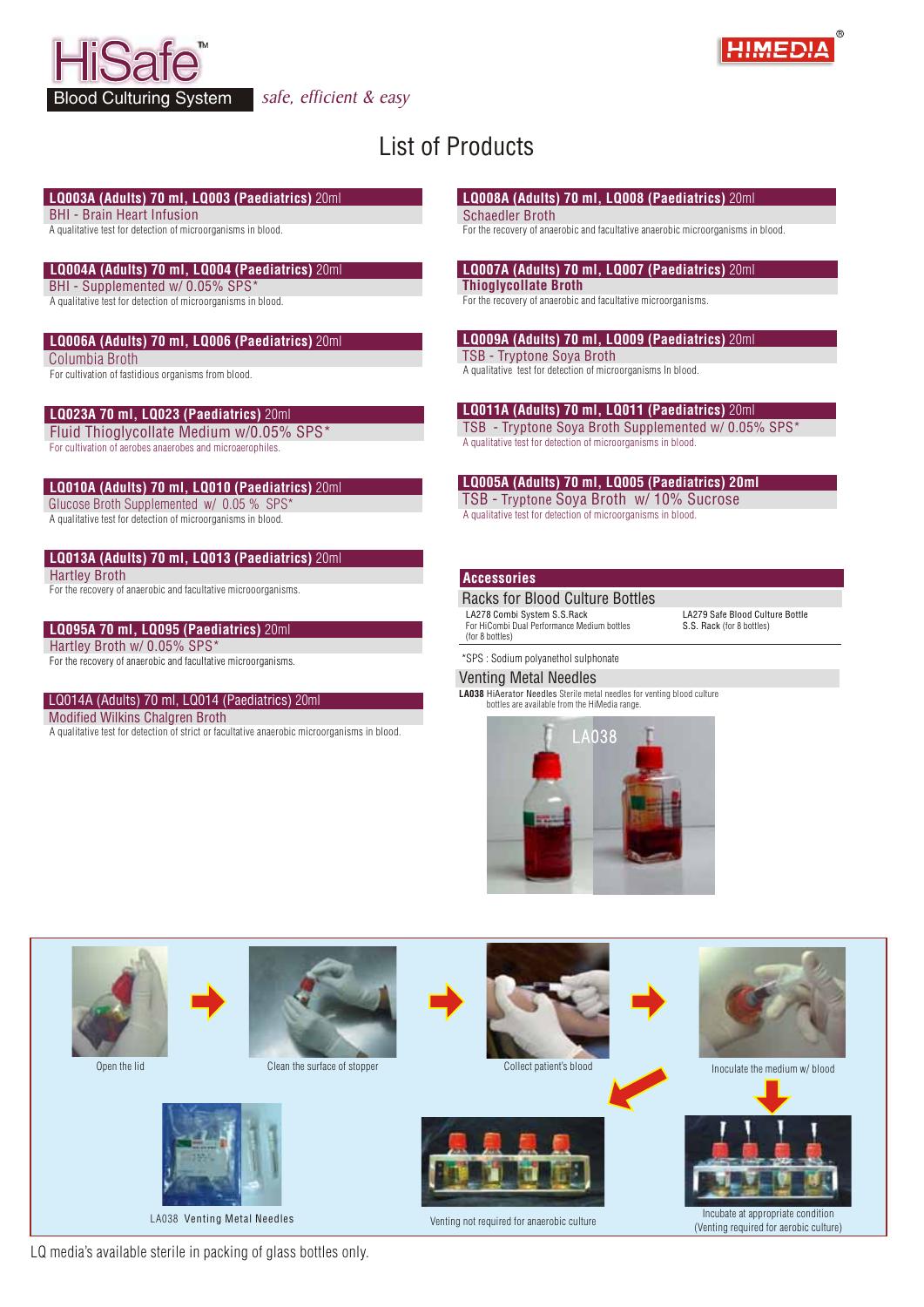



## List of Products

#### **LQ003A (Adults) 70 ml, LQ003 (Paediatrics)** 20ml

BHI - Brain Heart Infusion

A qualitative test for detection of microorganisms in blood.

#### **LQ004A (Adults) 70 ml, LQ004 (Paediatrics)** 20ml

BHI - Supplemented w/ 0.05% SPS\*

A qualitative test for detection of microorganisms in blood.

#### **LQ006A (Adults) 70 ml, LQ006 (Paediatrics)** 20ml

Columbia Broth

For cultivation of fastidious organisms from blood.

#### **LQ023A 70 ml, LQ023 (Paediatrics)** 20ml

Fluid Thioglycollate Medium w/0.05% SPS\* For cultivation of aerobes anaerobes and microaerophiles.

#### **LQ010A (Adults) 70 ml, LQ010 (Paediatrics)** 20ml

Glucose Broth Supplemented w/ 0.05 % SPS

A qualitative test for detection of microorganisms in blood.

#### **LQ013A (Adults) 70 ml, LQ013 (Paediatrics)** 20ml

Hartley Broth

For the recovery of anaerobic and facultative microoorganisms.

#### **LQ095A 70 ml, LQ095 (Paediatrics)** 20ml

Hartley Broth w/ 0.05% SPS

#### For the recovery of anaerobic and facultative microorganisms.

#### LQ014A (Adults) 70 ml, LQ014 (Paediatrics) 20ml

Modified Wilkins Chalgren Broth

A qualitative test for detection of strict or facultative anaerobic microorganisms in blood.

#### **LQ008A (Adults) 70 ml, LQ008 (Paediatrics)** 20ml

#### Schaedler Broth

For the recovery of anaerobic and facultative anaerobic microorganisms in blood.

#### **LQ007A (Adults) 70 ml, LQ007 (Paediatrics)** 20ml

**Thioglycollate Broth**

For the recovery of anaerobic and facultative microorganisms.

#### **LQ009A (Adults) 70 ml, LQ009 (Paediatrics)** 20ml

TSB - Tryptone Soya Broth

A qualitative test for detection of microorganisms In blood.

#### **LQ011A (Adults) 70 ml, LQ011 (Paediatrics)** 20ml

TSB - Tryptone Soya Broth Supplemented w/ 0.05% SPS\* A qualitative test for detection of microorganisms in blood.

## **LQ005A (Adults) 70 ml, LQ005 (Paediatrics) 20ml**

TSB - Tryptone Soya Broth w/ 10% Sucrose A qualitative test for detection of microorganisms in blood.

#### **Accessories**

(for 8 bottles)

LA278 Combi System S.S.Rack Racks for Blood Culture Bottles

For HiCombi Dual Performance Medium bottles

LA279 Safe Blood Culture Bottle S.S. Rack (for 8 bottles)

#### \*SPS : Sodium polyanethol sulphonate

#### Venting Metal Needles

**LA038** HiAerator Needles Sterile metal needles for venting blood culture bottles are available from the HiMedia range.





LQ media's available sterile in packing of glass bottles only.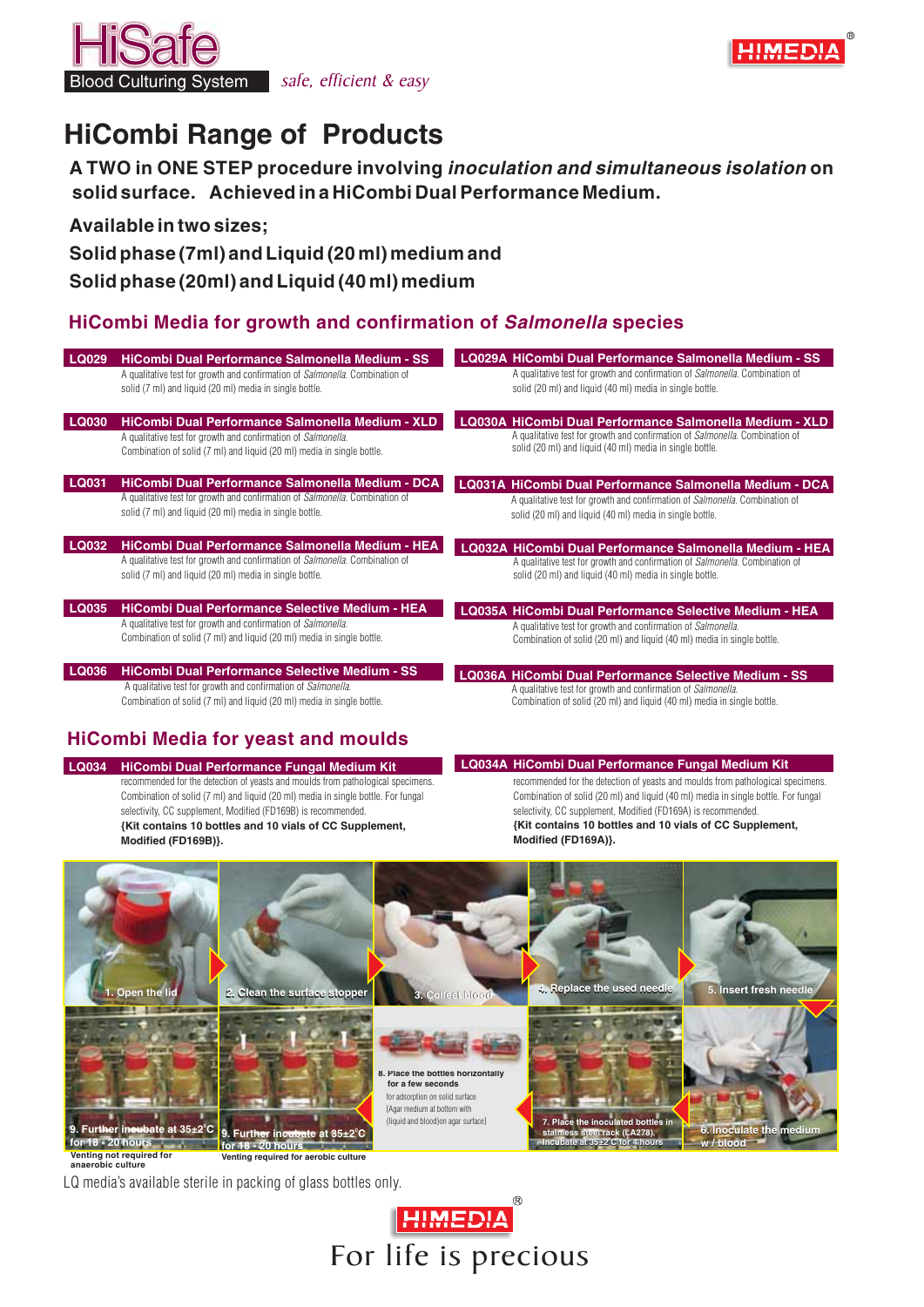

Blood Culturing System safe, efficient & easy

# **HiCombi Range of Products**

**A TWO in ONE STEP procedure involving** *inoculation and simultaneous isolation* **on solid surface. Achieved in a HiCombi DualPerformance Medium.**

### **Available in two sizes;**

**Solid phase (7ml) and Liquid (20 ml) medium and**

## **Solid phase (20ml) and Liquid (40 ml) medium**

## **HiCombi Media for growth and confirmation of** *Salmonella* **species**

| LQ029        | HiCombi Dual Performance Salmonella Medium - SS<br>A qualitative test for growth and confirmation of <i>Salmonella</i> . Combination of<br>solid (7 ml) and liquid (20 ml) media in single bottle.         | LQ029A HiCombi Dual Performance Salmonella Medium - SS<br>A qualitative test for growth and confirmation of <i>Salmonella</i> . Combination of<br>solid (20 ml) and liquid (40 ml) media in single bottle.  |
|--------------|------------------------------------------------------------------------------------------------------------------------------------------------------------------------------------------------------------|-------------------------------------------------------------------------------------------------------------------------------------------------------------------------------------------------------------|
| <b>LQ030</b> | HiCombi Dual Performance Salmonella Medium - XLD<br>A qualitative test for growth and confirmation of <i>Salmonella</i> .<br>Combination of solid (7 ml) and liquid (20 ml) media in single bottle.        | LQ030A HiCombi Dual Performance Salmonella Medium - XLD<br>A qualitative test for growth and confirmation of Salmonella. Combination of<br>solid (20 ml) and liquid (40 ml) media in single bottle.         |
| LQ031        | <b>HiCombi Dual Performance Salmonella Medium - DCA</b><br>A qualitative test for growth and confirmation of <i>Salmonella</i> . Combination of<br>solid (7 ml) and liquid (20 ml) media in single bottle. | LQ031A HiCombi Dual Performance Salmonella Medium - DCA<br>A qualitative test for growth and confirmation of <i>Salmonella</i> . Combination of<br>solid (20 ml) and liquid (40 ml) media in single bottle. |
| <b>LQ032</b> | HiCombi Dual Performance Salmonella Medium - HEA<br>A qualitative test for growth and confirmation of Salmonella. Combination of<br>solid (7 ml) and liquid (20 ml) media in single bottle.                | LQ032A HiCombi Dual Performance Salmonella Medium - HEA<br>A qualitative test for growth and confirmation of Salmonella. Combination of<br>solid (20 ml) and liquid (40 ml) media in single bottle.         |
| <b>LQ035</b> | <b>HiCombi Dual Performance Selective Medium - HEA</b><br>A qualitative test for growth and confirmation of Salmonella.<br>Combination of solid (7 ml) and liquid (20 ml) media in single bottle.          | <b>LQ035A HiCombi Dual Performance Selective Medium - HEA</b><br>A qualitative test for growth and confirmation of Salmonella.<br>Combination of solid (20 ml) and liquid (40 ml) media in single bottle.   |
| <b>LQ036</b> | <b>HiCombi Dual Performance Selective Medium - SS</b><br>A qualitative test for growth and confirmation of Salmonella.<br>Combination of solid (7 ml) and liquid (20 ml) media in single bottle.           | <b>LQ036A HiCombi Dual Performance Selective Medium - SS</b><br>A qualitative test for growth and confirmation of Salmonella.<br>Combination of solid (20 ml) and liquid (40 ml) media in single bottle.    |

## **HiCombi Media for yeast and moulds**

**LQ034 HiCombi Dual Performance Fungal Medium Kit** recommended for the detection of yeasts and moulds from pathological specimens. Combination of solid (7 ml) and liquid (20 ml) media in single bottle. For fungal selectivity, CC supplement, Modified (FD169B) is recommended. **{Kit contains 10 bottles and 10 vials of CC Supplement, Modified (FD169B)}.**

**LQ034A HiCombi Dual Performance Fungal Medium Kit** recommended for the detection of yeasts and moulds from pathological specimens. Combination of solid (20 ml) and liquid (40 ml) media in single bottle. For fungal selectivity, CC supplement, Modified (FD169A) is recommended. **{Kit contains 10 bottles and 10 vials of CC Supplement, Modified (FD169A)}.**



LQ media's available sterile in packing of glass bottles only.

**HIMEDIA** For life is precious